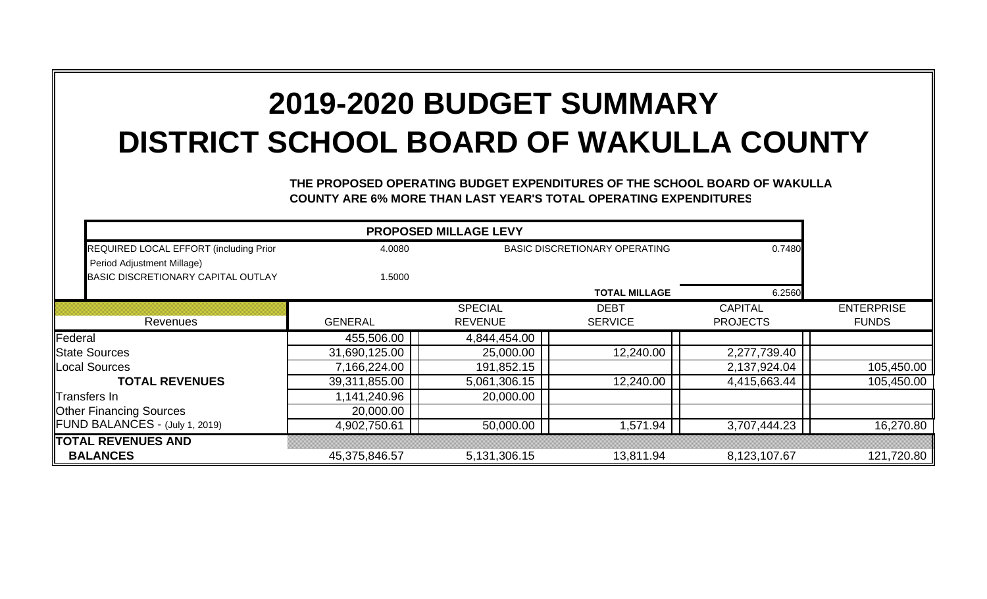## **2019-2020 BUDGET SUMMARYDISTRICT SCHOOL BOARD OF WAKULLA COUNTY**

**THE PROPOSED OPERATING BUDGET EXPENDITURES OF THE SCHOOL BOARD OF WAKULL A COUNTY ARE 6% MORE THAN LAST YEAR'S TOTAL OPERATING EXPENDITURES**

| REQUIRED LOCAL EFFORT (including Prior | 4.0080         | <b>BASIC DISCRETIONARY OPERATING</b> |                      | 0.7480          |                   |
|----------------------------------------|----------------|--------------------------------------|----------------------|-----------------|-------------------|
| Period Adjustment Millage)             |                |                                      |                      |                 |                   |
| BASIC DISCRETIONARY CAPITAL OUTLAY     | 1.5000         |                                      |                      |                 |                   |
|                                        |                |                                      | <b>TOTAL MILLAGE</b> | 6.2560          |                   |
|                                        |                | <b>SPECIAL</b>                       | <b>DEBT</b>          | <b>CAPITAL</b>  | <b>ENTERPRISE</b> |
| Revenues                               | <b>GENERAL</b> | <b>REVENUE</b>                       | <b>SERVICE</b>       | <b>PROJECTS</b> | <b>FUNDS</b>      |
| Federal                                | 455,506.00     | 4,844,454.00                         |                      |                 |                   |
| <b>IState Sources</b>                  | 31,690,125.00  | 25,000.00                            | 12,240.00            | 2,277,739.40    |                   |
| <b>ILocal Sources</b>                  | 7,166,224.00   | 191,852.15                           |                      | 2,137,924.04    | 105,450.00        |
| <b>TOTAL REVENUES</b>                  | 39,311,855.00  | 5,061,306.15                         | 12,240.00            | 4,415,663.44    | 105,450.00        |
| Transfers In                           | 1,141,240.96   | 20,000.00                            |                      |                 |                   |
| <b>Other Financing Sources</b>         | 20,000.00      |                                      |                      |                 |                   |
| <b>IFUND BALANCES - (July 1, 2019)</b> | 4,902,750.61   | 50,000.00                            | 1,571.94             | 3,707,444.23    | 16,270.80         |
| <b>TOTAL REVENUES AND</b>              |                |                                      |                      |                 |                   |
| <b>BALANCES</b>                        | 45,375,846.57  | 5,131,306.15                         | 13,811.94            | 8,123,107.67    | 121,720.80        |